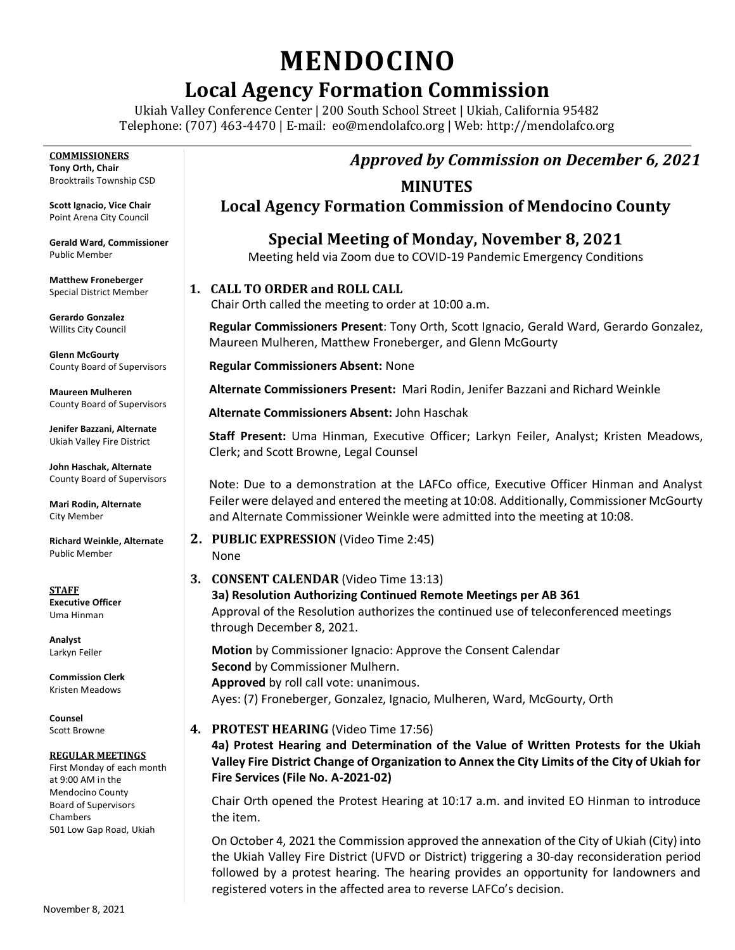# **MENDOCINO**

# **Local Agency Formation Commission**

Ukiah Valley Conference Center | 200 South School Street | Ukiah, California 95482 Telephone: (707) 463-4470 | E-mail: [eo@mendolafco.org](mailto:eo@mendolafco.org) | Web: http://mendolafco.org

*Approved by Commission on December 6, 2021*

# **MINUTES**

**Local Agency Formation Commission of Mendocino County**

**Special Meeting of Monday, November 8, 2021** Meeting held via Zoom due to COVID-19 Pandemic Emergency Conditions

# **1. CALL TO ORDER and ROLL CALL**

Chair Orth called the meeting to order at 10:00 a.m.

**Regular Commissioners Present**: Tony Orth, Scott Ignacio, Gerald Ward, Gerardo Gonzalez, Maureen Mulheren, Matthew Froneberger, and Glenn McGourty

**Regular Commissioners Absent:** None

**Alternate Commissioners Present:** Mari Rodin, Jenifer Bazzani and Richard Weinkle

**Alternate Commissioners Absent:** John Haschak

**Staff Present:** Uma Hinman, Executive Officer; Larkyn Feiler, Analyst; Kristen Meadows, Clerk; and Scott Browne, Legal Counsel

Note: Due to a demonstration at the LAFCo office, Executive Officer Hinman and Analyst Feiler were delayed and entered the meeting at 10:08. Additionally, Commissioner McGourty and Alternate Commissioner Weinkle were admitted into the meeting at 10:08.

#### **2. PUBLIC EXPRESSION** (Video Time 2:45) None

**3. CONSENT CALENDAR** (Video Time 13:13) **3a) Resolution Authorizing Continued Remote Meetings per AB 361** Approval of the Resolution authorizes the continued use of teleconferenced meetings through December 8, 2021.

**Motion** by Commissioner Ignacio: Approve the Consent Calendar **Second** by Commissioner Mulhern. **Approved** by roll call vote: unanimous. Ayes: (7) Froneberger, Gonzalez, Ignacio, Mulheren, Ward, McGourty, Orth

# **4. PROTEST HEARING** (Video Time 17:56)

**4a) Protest Hearing and Determination of the Value of Written Protests for the Ukiah Valley Fire District Change of Organization to Annex the City Limits of the City of Ukiah for Fire Services (File No. A-2021-02)**

Chair Orth opened the Protest Hearing at 10:17 a.m. and invited EO Hinman to introduce the item.

On October 4, 2021 the Commission approved the annexation of the City of Ukiah (City) into the Ukiah Valley Fire District (UFVD or District) triggering a 30-day reconsideration period followed by a protest hearing. The hearing provides an opportunity for landowners and registered voters in the affected area to reverse LAFCo's decision.

**COMMISSIONERS Tony Orth, Chair** Brooktrails Township CSD

**Scott Ignacio, Vice Chair** Point Arena City Council

**Gerald Ward, Commissioner** Public Member

**Matthew Froneberger** Special District Member

**Gerardo Gonzalez** Willits City Council

**Glenn McGourty** County Board of Supervisors

**Maureen Mulheren** County Board of Supervisors

**Jenifer Bazzani, Alternate** Ukiah Valley Fire District

**John Haschak, Alternate** County Board of Supervisors

**Mari Rodin, Alternate** City Member

**Richard Weinkle, Alternate** Public Member

**STAFF Executive Officer** Uma Hinman

**Analyst** Larkyn Feiler

**Commission Clerk** Kristen Meadows

**Counsel** Scott Browne

#### **REGULAR MEETINGS**

First Monday of each month at 9:00 AM in the Mendocino County Board of Supervisors Chambers 501 Low Gap Road, Ukiah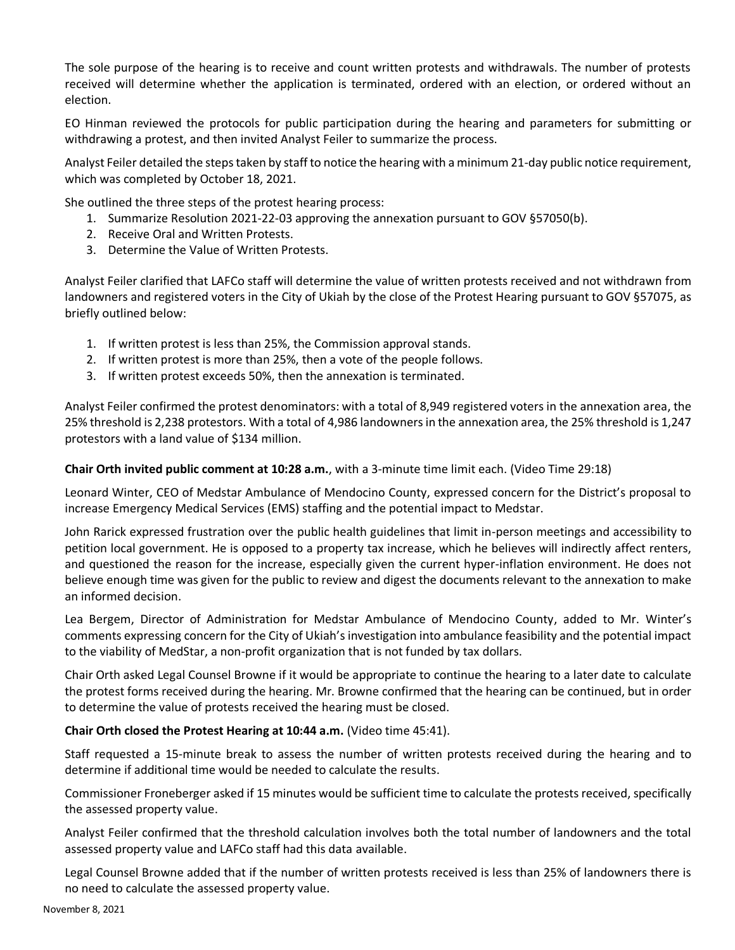The sole purpose of the hearing is to receive and count written protests and withdrawals. The number of protests received will determine whether the application is terminated, ordered with an election, or ordered without an election.

EO Hinman reviewed the protocols for public participation during the hearing and parameters for submitting or withdrawing a protest, and then invited Analyst Feiler to summarize the process.

Analyst Feiler detailed the steps taken by staff to notice the hearing with a minimum 21-day public notice requirement, which was completed by October 18, 2021.

She outlined the three steps of the protest hearing process:

- 1. Summarize Resolution 2021-22-03 approving the annexation pursuant to GOV §57050(b).
- 2. Receive Oral and Written Protests.
- 3. Determine the Value of Written Protests.

Analyst Feiler clarified that LAFCo staff will determine the value of written protests received and not withdrawn from landowners and registered voters in the City of Ukiah by the close of the Protest Hearing pursuant to GOV §57075, as briefly outlined below:

- 1. If written protest is less than 25%, the Commission approval stands.
- 2. If written protest is more than 25%, then a vote of the people follows.
- 3. If written protest exceeds 50%, then the annexation is terminated.

Analyst Feiler confirmed the protest denominators: with a total of 8,949 registered voters in the annexation area, the 25% threshold is 2,238 protestors. With a total of 4,986 landowners in the annexation area, the 25% threshold is 1,247 protestors with a land value of \$134 million.

#### **Chair Orth invited public comment at 10:28 a.m.**, with a 3-minute time limit each. (Video Time 29:18)

Leonard Winter, CEO of Medstar Ambulance of Mendocino County, expressed concern for the District's proposal to increase Emergency Medical Services (EMS) staffing and the potential impact to Medstar.

John Rarick expressed frustration over the public health guidelines that limit in-person meetings and accessibility to petition local government. He is opposed to a property tax increase, which he believes will indirectly affect renters, and questioned the reason for the increase, especially given the current hyper-inflation environment. He does not believe enough time was given for the public to review and digest the documents relevant to the annexation to make an informed decision.

Lea Bergem, Director of Administration for Medstar Ambulance of Mendocino County, added to Mr. Winter's comments expressing concern for the City of Ukiah's investigation into ambulance feasibility and the potential impact to the viability of MedStar, a non-profit organization that is not funded by tax dollars.

Chair Orth asked Legal Counsel Browne if it would be appropriate to continue the hearing to a later date to calculate the protest forms received during the hearing. Mr. Browne confirmed that the hearing can be continued, but in order to determine the value of protests received the hearing must be closed.

#### **Chair Orth closed the Protest Hearing at 10:44 a.m.** (Video time 45:41).

Staff requested a 15-minute break to assess the number of written protests received during the hearing and to determine if additional time would be needed to calculate the results.

Commissioner Froneberger asked if 15 minutes would be sufficient time to calculate the protests received, specifically the assessed property value.

Analyst Feiler confirmed that the threshold calculation involves both the total number of landowners and the total assessed property value and LAFCo staff had this data available.

Legal Counsel Browne added that if the number of written protests received is less than 25% of landowners there is no need to calculate the assessed property value.